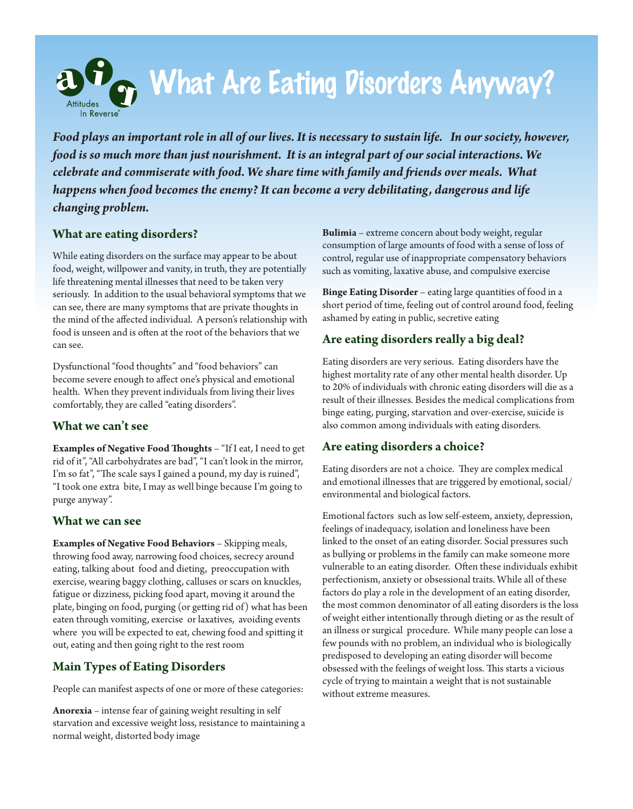

*Food plays an important role in all of our lives. It is necessary to sustain life. In our society, however, food is so much more than just nourishment. It is an integral part of our social interactions. We celebrate and commiserate with food. We share time with family and friends over meals. What happens when food becomes the enemy? It can become a very debilitating, dangerous and life changing problem.*

## **What are eating disorders?**

While eating disorders on the surface may appear to be about food, weight, willpower and vanity, in truth, they are potentially life threatening mental illnesses that need to be taken very seriously. In addition to the usual behavioral symptoms that we can see, there are many symptoms that are private thoughts in the mind of the affected individual. A person's relationship with food is unseen and is often at the root of the behaviors that we can see.

Dysfunctional "food thoughts" and "food behaviors" can become severe enough to affect one's physical and emotional health. When they prevent individuals from living their lives comfortably, they are called "eating disorders".

## **What we can't see**

**Examples of Negative Food Thoughts** – "If I eat, I need to get rid of it", "All carbohydrates are bad", "I can't look in the mirror, I'm so fat", "The scale says I gained a pound, my day is ruined", "I took one extra bite, I may as well binge because I'm going to purge anyway".

## **What we can see**

**Examples of Negative Food Behaviors** – Skipping meals, throwing food away, narrowing food choices, secrecy around eating, talking about food and dieting, preoccupation with exercise, wearing baggy clothing, calluses or scars on knuckles, fatigue or dizziness, picking food apart, moving it around the plate, binging on food, purging (or getting rid of) what has been eaten through vomiting, exercise or laxatives, avoiding events where you will be expected to eat, chewing food and spitting it out, eating and then going right to the rest room

# **Main Types of Eating Disorders**

People can manifest aspects of one or more of these categories:

**Anorexia** – intense fear of gaining weight resulting in self starvation and excessive weight loss, resistance to maintaining a normal weight, distorted body image

**Bulimia** – extreme concern about body weight, regular consumption of large amounts of food with a sense of loss of control, regular use of inappropriate compensatory behaviors such as vomiting, laxative abuse, and compulsive exercise

**Binge Eating Disorder** – eating large quantities of food in a short period of time, feeling out of control around food, feeling ashamed by eating in public, secretive eating

# **Are eating disorders really a big deal?**

Eating disorders are very serious. Eating disorders have the highest mortality rate of any other mental health disorder. Up to 20% of individuals with chronic eating disorders will die as a result of their illnesses. Besides the medical complications from binge eating, purging, starvation and over-exercise, suicide is also common among individuals with eating disorders.

# **Are eating disorders a choice?**

Eating disorders are not a choice. They are complex medical and emotional illnesses that are triggered by emotional, social/ environmental and biological factors.

Emotional factors such as low self-esteem, anxiety, depression, feelings of inadequacy, isolation and loneliness have been linked to the onset of an eating disorder. Social pressures such as bullying or problems in the family can make someone more vulnerable to an eating disorder. Often these individuals exhibit perfectionism, anxiety or obsessional traits. While all of these factors do play a role in the development of an eating disorder, the most common denominator of all eating disorders is the loss of weight either intentionally through dieting or as the result of an illness or surgical procedure. While many people can lose a few pounds with no problem, an individual who is biologically predisposed to developing an eating disorder will become obsessed with the feelings of weight loss. This starts a vicious cycle of trying to maintain a weight that is not sustainable without extreme measures.